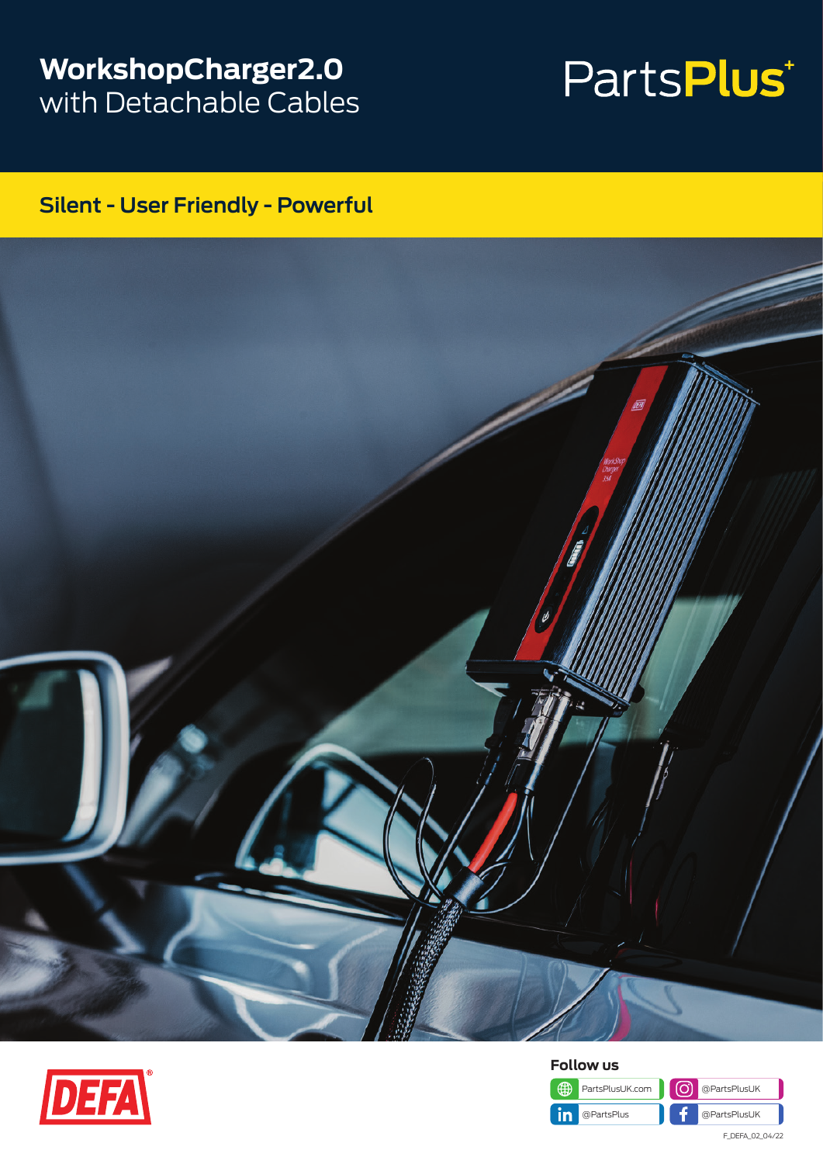### **WorkshopCharger2.0** with Detachable Cables

# PartsPlus<sup>+</sup>

### **Silent - User Friendly - Powerful**







F\_DEFA\_02\_04/22